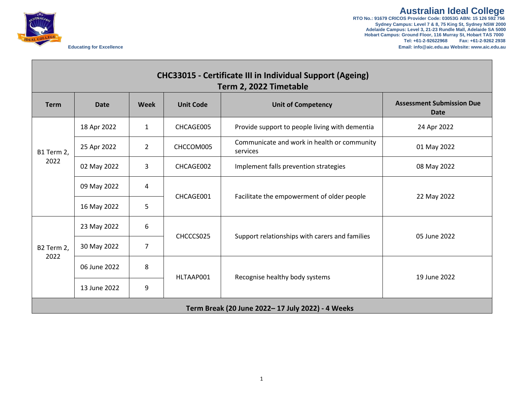



**Australian Ideal College**<br>**RTO No.: 91679 CRICOS Provider Code: 03053G ABN: 15 126 592 756 Sydney Campus: Level 7 & 8, 75 King St, Sydney NSW 2000 Adelaide Campus: Level 3, 21-23 Rundle Mall, Adelaide SA 5000 Hobart Campus: Ground Floor, 116 Murray St, Hobart TAS 7000 Tel: +61-2-92622968 Fax: +61-2-9262 2938 Educating for Excellence Email: info@aic.edu.au Website: www.aic.edu.au**

| <b>CHC33015 - Certificate III in Individual Support (Ageing)</b><br>Term 2, 2022 Timetable |              |                |                  |                                                         |                                                 |  |  |  |
|--------------------------------------------------------------------------------------------|--------------|----------------|------------------|---------------------------------------------------------|-------------------------------------------------|--|--|--|
| <b>Term</b>                                                                                | Date         | <b>Week</b>    | <b>Unit Code</b> | <b>Unit of Competency</b>                               | <b>Assessment Submission Due</b><br><b>Date</b> |  |  |  |
| B1 Term 2,<br>2022                                                                         | 18 Apr 2022  | $\mathbf{1}$   | CHCAGE005        | Provide support to people living with dementia          | 24 Apr 2022                                     |  |  |  |
|                                                                                            | 25 Apr 2022  | $\overline{2}$ | CHCCOM005        | Communicate and work in health or community<br>services | 01 May 2022                                     |  |  |  |
|                                                                                            | 02 May 2022  | 3              | CHCAGE002        | Implement falls prevention strategies                   | 08 May 2022                                     |  |  |  |
|                                                                                            | 09 May 2022  | 4              | CHCAGE001        | Facilitate the empowerment of older people              | 22 May 2022                                     |  |  |  |
|                                                                                            | 16 May 2022  | 5              |                  |                                                         |                                                 |  |  |  |
| B2 Term 2,<br>2022                                                                         | 23 May 2022  | 6              | CHCCCS025        | Support relationships with carers and families          | 05 June 2022                                    |  |  |  |
|                                                                                            | 30 May 2022  | $\overline{7}$ |                  |                                                         |                                                 |  |  |  |
|                                                                                            | 06 June 2022 | 8              | HLTAAP001        | Recognise healthy body systems                          | 19 June 2022                                    |  |  |  |
|                                                                                            | 13 June 2022 | 9              |                  |                                                         |                                                 |  |  |  |
| Term Break (20 June 2022–17 July 2022) - 4 Weeks                                           |              |                |                  |                                                         |                                                 |  |  |  |